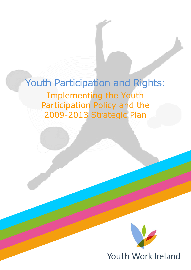Youth Participation and Rights: Implementing the Youth Participation Policy and the 2009-2013 Strategic Plan

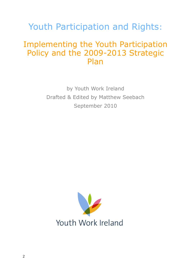## Youth Participation and Rights:

### Implementing the Youth Participation Policy and the 2009-2013 Strategic Plan

by Youth Work Ireland Drafted & Edited by Matthew Seebach September 2010

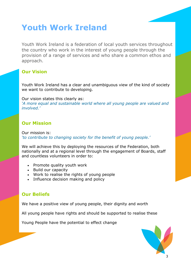## **Youth Work Ireland**

Youth Work Ireland is a federation of local youth services throughout the country who work in the interest of young people through the provision of a range of services and who share a common ethos and approach.

### **Our Vision**

Youth Work Ireland has a clear and unambiguous view of the kind of society we want to contribute to developing.

Our vision states this clearly as:

*'A more equal and sustainable world where all young people are valued and involved.'*

### **Our Mission**

Our mission is: *'to contribute to changing society for the benefit of young people.'*

We will achieve this by deploying the resources of the Federation, both nationally and at a regional level through the engagement of Boards, staff and countless volunteers in order to:

- Promote quality youth work
- Build our capacity
- Work to realise the rights of young people
- Influence decision making and policy

### **Our Beliefs**

We have a positive view of young people, their dignity and worth

All young people have rights and should be supported to realise these

Young People have the potential to effect change

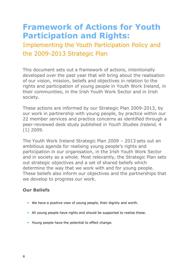## **Framework of Actions for Youth Participation and Rights:**

Implementing the Youth Participation Policy and the 2009-2013 Strategic Plan

This document sets out a framework of actions, intentionally developed over the past year that will bring about the realisation of our vision, mission, beliefs and objectives in relation to the rights and participation of young people in Youth Work Ireland, in their communities, in the Irish Youth Work Sector and in Irish society.

These actions are informed by our Strategic Plan 2009-2013, by our work in partnership with young people, by practice within our 22 member services and practice concerns as identified through a peer-reviewed desk study published in *Youth Studies Ireland,* 4 (1) 2009.

The Youth Work Ireland Strategic Plan 2009 – 2013 sets out an ambitious agenda for realising young people's rights and participation in our organisation, in the Irish Youth Work Sector and in society as a whole. Most relevantly, the Strategic Plan sets out strategic objectives and a set of shared beliefs which determine the way that we work with and for young people. These beliefs also inform our objectives and the partnerships that we develop to progress our work.

### **Our Beliefs**

- We have a positive view of young people, their dignity and worth.
- All young people have rights and should be supported to realise these.
- **Young people have the potential to effect change.**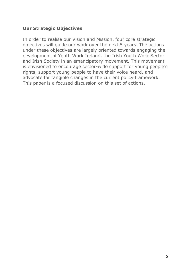### **Our Strategic Objectives**

In order to realise our Vision and Mission, four core strategic objectives will guide our work over the next 5 years. The actions under these objectives are largely oriented towards engaging the development of Youth Work Ireland, the Irish Youth Work Sector and Irish Society in an emancipatory movement. This movement is envisioned to encourage sector-wide support for young people's rights, support young people to have their voice heard, and advocate for tangible changes in the current policy framework. This paper is a focused discussion on this set of actions.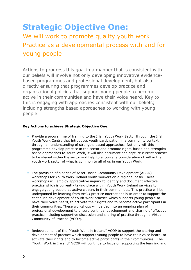# **Strategic Objective One:**

### We will work to promote quality youth work Practice as a developmental process with and for young people

Actions to progress this goal in a manner that is consistent with our beliefs will involve not only developing innovative evidencebased programmes and professional development, but also directly ensuring that programmes develop practice and organisational policies that support young people to become active in their communities and have their voice heard. Key to this is engaging with approaches consistent with our beliefs; including strengths based approaches to working with young people.

#### **Key Actions to achieve Strategic Objective One:**

- **Provide a programme of training to the Irish Youth Work Sector through the Irish** Youth Work Centre that introduces youth participation in a community context through an understanding of strengths based approaches. Not only will this programme develop practice in the sector and promote rights-based and strengths based approaches to Youth Work, it will also document and capture current practice to be shared within the sector and help to encourage consideration of within the youth work sector of what is common to all of us in our Youth Work.
- The provision of a series of Asset-Based Community Development (ABCD) workshops for Youth Work Ireland youth workers on a regional basis. These workshops will employ appreciative inquiry to identify and document effective practice which is currently taking place within Youth Work Ireland services to engage young people as active citizens in their communities. This practice will be underpinned by learning from ABCD practice internationally in order to support the continued development of Youth Work practice which supports young people to have their voice heard, to activate their rights and to become active participants in their communities. These workshops will be tied into an ongoing plan of professional development to ensure continual development and sharing of effective practice including supportive discussion and sharing of practice through a Virtual Community of Practice (VCOP).
- Redevelopment of the "Youth Work in Ireland" VCOP to support the sharing and development of practice which supports young people to have their voice heard, to activate their rights and to become active participants in their communities. The "Youth Work in Ireland" VCOP will continue to focus on supporting the learning and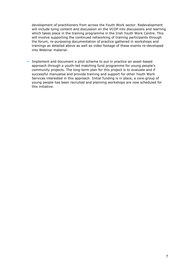development of practitioners from across the Youth Work sector. Redevelopment will include tying content and discussion on the VCOP into discussions and learning which takes place in the training programme in the Irish Youth Work Centre. This will involve supporting the continued networking of training participants through the forum, re-purposing documentation of practice gathered in workshops and trainings as detailed above as well as video footage of these events re-developed into Webinar material.

 Implement and document a pilot scheme to put in practice an asset-based approach through a youth-led matching fund programme for young people's community projects. The long-term plan for this project is to evaluate and if successful manualise and provide training and support for other Youth Work Services interested in this approach. Initial funding is in place, a core-group of young people has been recruited and planning workshops are now scheduled for this initiative.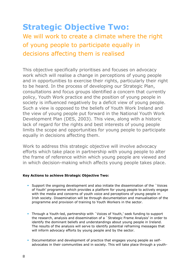## **Strategic Objective Two:** We will work to create a climate where the right of young people to participate equally in decisions affecting them is realised

This objective specifically prioritises and focuses on advocacy work which will realise a change in perceptions of young people and in opportunities to exercise their rights, particularly their right to be heard. In the process of developing our Strategic Plan, consultations and focus groups identified a concern that currently policy, Youth Work practice and the position of young people in society is influenced negatively by a deficit view of young people. Such a view is opposed to the beliefs of Youth Work Ireland and the view of young people put forward in the National Youth Work Development Plan (DES, 2003). This view, along with a historic lack of regard for the rights and best interests of young people limits the scope and opportunities for young people to participate equally in decisions affecting them.

Work to address this strategic objective will involve advocacy efforts which take place in partnership with young people to alter the frame of reference within which young people are viewed and in which decision-making which affects young people takes place.

#### **Key Actions to achieve Strategic Objective Two:**

- Support the ongoing development and also initiate the dissemination of the `Voices of Youth' programme which provides a platform for young people to actively engage with the media and concerns of youth voice and perceptions of young people in Irish society. Dissemination will be through documentation and manualisation of the programme and provision of training to Youth Workers in the sector.
- Through a Youth-led, partnership with `Voices of Youth,' seek funding to support the research, analysis and dissemination of a `Strategic Frame Analysis' in order to identify the dominant beliefs and understandings about young people in Ireland. The results of the analysis will serve to identify potential reframing messages that will inform advocacy efforts by young people and by the sector.
- Documentation and development of practice that engages young people as selfadvocates in their communities and in society. This will take place through a youth-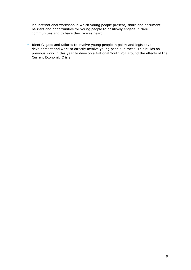led international workshop in which young people present, share and document barriers and opportunities for young people to positively engage in their communities and to have their voices heard.

**IDENTIFY** dentify gaps and failures to involve young people in policy and legislative development and work to directly involve young people in these. This builds on previous work in this year to develop a National Youth Poll around the effects of the Current Economic Crisis.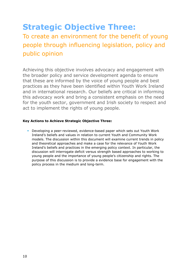## **Strategic Objective Three:**

### To create an environment for the benefit of young people through influencing legislation, policy and public opinion

Achieving this objective involves advocacy and engagement with the broader policy and service development agenda to ensure that these are informed by the voice of young people and best practices as they have been identified within Youth Work Ireland and in international research. Our beliefs are critical in informing this advocacy work and bring a consistent emphasis on the need for the youth sector, government and Irish society to respect and act to implement the rights of young people.

#### **Key Actions to Achieve Strategic Objective Three:**

 Developing a peer-reviewed, evidence-based paper which sets out Youth Work Ireland's beliefs and values in relation to current Youth and Community Work models. The discussion within this document will examine current trends in policy and theoretical approaches and make a case for the relevance of Youth Work Ireland's beliefs and practices in the emerging policy context. In particular, the discussion will interrogate deficit versus strength based approaches to working to young people and the importance of young people's citizenship and rights. The purpose of this discussion is to provide a evidence base for engagement with the policy process in the medium and long-term.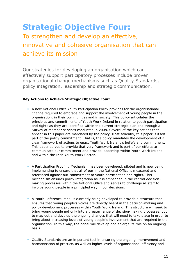## **Strategic Objective Four:**

### To strengthen and develop an effective, innovative and cohesive organisation that can achieve its mission

Our strategies for developing an organisation which can effectively support participatory processes include proven organisational change mechanisms such as Quality Standards, policy integration, leadership and strategic communication.

#### **Key Actions to Achieve Strategic Objective Four:**

- A new National Office Youth Participation Policy provides for the organisational change required to embrace and support the involvement of young people in the organisation, in their communities and in society. This policy articulates the principles and commitments of Youth Work Ireland in relation to youth participation and rights as they are identified within the current strategic plan and through a Survey of member services conducted in 2008. Several of the key actions that appear in this paper are mandated by the policy. Most saliently, this paper is itself part of the policy commitment. That is, the policy mandates the development of a clear framework of actions to enact Youth Work Ireland's beliefs and commitment. This paper serves to provide that very framework and is part of our efforts to communicate our commitment and provide leadership within Youth Work Ireland and within the Irish Youth Work Sector.
- A Participation Proofing Mechanism has been developed, piloted and is now being implementing to ensure that all of our in the National Office is measured and referenced against our commitment to youth participation and rights. This mechanism ensures policy integration as it is embedded in the central decisionmaking processes within the National Office and serves to challenge all staff to involve young people in a principled way in our decisions.
- A Youth Reference Panel is currently being developed to provide a structure that ensures that young people's voices are directly heard in the decision-making and policy development processes within Youth Work Ireland. This structure will seek to bring young people not only into a greater range of decision-making processes, but to map out and develop the ongoing changes that will need to take place in order to bring about increasing levels of young people's involvement that are required in the organisation. In this way, the panel will develop and enlarge its role on an ongoing basis.
- Quality Standards are an important tool in ensuring the ongoing improvement and harmonisation of practice, as well as higher levels of organisational efficiency and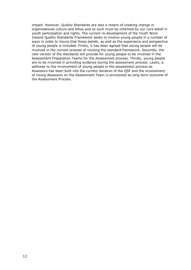impact. However, Quality Standards are also a means of creating change in organisational culture and ethos and as such must be informed by our core belief in youth participation and rights. The current re-development of the Youth Work Ireland Quality Standards Framework seeks to involve young people in a number of ways in order to insure that these beliefs, as well as the experience and perspective of young people is included. Firstly, it has been agreed that young people will be involved in the current process of revising the standard framework. Secondly, the new version of the standards will provide for young people to be involved in the Assessment Preparation Teams for the Assessment process. Thirdly, young people are to be involved in providing evidence during the assessment process. Lastly, a pathway to the involvement of young people in the assessment process as Assessors has been built into the current iteration of the QSF and the involvement of Young Assessors on the Assessment Team is envisioned as long-term outcome of the Assessment Process.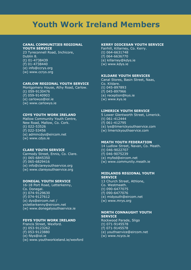## **Youth Work Ireland Members**

#### **CANAL COMMUNITIES REGIONAL YOUTH SERVICE**

23 Tyreconnell Road, Inchicore, Dublin 8. (t) 01-4738439 (f) 01-4738440 (e) info@ccrys.org (w) www.ccrys.org

#### **CARLOW REGIONAL YOUTH SERVICE**

Montgomery House, Athy Road, Carlow. (t) 059-9130476  $( f) 059 - 9140903$ (e) carlowys@iol.ie (w) www.carlowys.ie

#### **CDYS YOUTH WORK IRELAND**

Mallow Community Youth Centre, New Road, Mallow, Co. Cork. (t) 022-53526 (f) 022-53456 (e) admincdys@eircom.net (w) www.cdys.ie

#### **CLARE YOUTH SERVICE**

Carmody Street, Ennis, Co. Clare. (t) 065-6845350  $( f) 065 - 6829416$ (e) info@clareyouthservice.org (w) www.clareyouthservice.org

#### **DONEGAL YOUTH SERVICE**

16-18 Port Road, Letterkenny, Co. Donegal. (t) 074-9129630 (f) 074-9127612 (e) dys@eircom.net / yicletterkenny@eircom.net (w) www.donegalyouthservice.ie

#### **FDYS YOUTH WORK IRELAND**

Francis Street, Wexford. (t) 053-9123262 (f) 053-9123880 (e) fdys@iol.ie (w) www.youthworkieland.ie/wexford

#### **KERRY DIOCESAN YOUTH SERVICE**

Fairhill, Killarney, Co. Kerry.  $(t)$  064-6631748 (f) 064-6636770 (e) killarney@kdys.ie (w) www.kdys.ie

#### **KILDARE YOUTH SERVICES**

Canal Stores, Basin Street, Naas, Co. Kildare. (t) 045-897893 (f) 045-897966 (e) reception@kys.ie (w) www.kys.ie

#### **LIMERICK YOUTH SERVICE**

5 Lower Glentworth Street, Limerick.  $(t)$  061-412444 (f) 061-412795 (e) lys@limerickyouthservice.com (w) limerickyouthservice.com

#### **MEATH YOUTH FEDERATION**

14 Ludlow Street, Navan, Co. Meath.

- (t) 046-9022707
- (f) 046-9075239
- (e) myfed@eircom.net
- (w) www.community.meath.ie

#### **MIDLANDS REGIONAL YOUTH SERVICE**

13 Church Street, Athlone, Co. Westmeath. (t) 090-6477075 (f) 090-6477076 (e) midyouth@eircom.net (w) www.mrys.org

#### **NORTH CONNAUGHT YOUTH SERVICE**

Rockwood Parade, Sligo (t) 071-9145578 (f) 071-9145578 (e) youthservice@eircom.net (w) www.ncycs.ie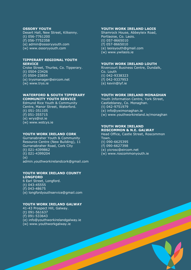#### **OSSORY YOUTH**

Desert Hall, New Street, Kilkenny. (t) 056-7761200 (f) 056-7752358

- (e) admin@ossoryyouth.com
- (w) www.ossoryyouth.com

#### **TIPPERARY REGIONAL YOUTH SERVICE**

Croke Street, Thurles, Co. Tipperary. (t) 0504-23426 (f) 0504-23854

(e) trysmanager@eircom.net

(w) www.trys.ie

#### **WATERFORD & SOUTH TIPPERARY COMMUNITY YOUTH SERVICE**

Edmund Rice Youth & Community Centre, Manor Street, Waterford. (t) 051-351105 (f) 051-355715 (e) wrys@iol.ie (w) www.wstcys.ie

#### **YOUTH WORK IRELAND CORK**

Gurranabraher Youth & Community Resource Centre (New Building), 11 Gurranabraher Road, Cork City (t) 021-4399862 (t) 021-4399204 (e) admin.youthworkirelandcork@gmail.com

#### **YOUTH WORK IRELAND COUNTY LONGFORD**

6 Earl Street, Longford. (t) 043-45555 (f) 043-48675 (e) longfordyouthservice@gmail.com

#### **YOUTH WORK IRELAND GALWAY**

41-43 Prospect Hill, Galway. (t) 091-561637 (f) 091-533643 (e) info@youthworkirelandgalway.ie (w) www.youthworkgalway.ie

#### **YOUTH WORK IRELAND LAOIS**

Shamrock House, Abbeyleix Road, Portlaoise, Co. Laois. (t) 057-8665010 (f) 057-8665010 (e) laoisyouth@gmail.com (w) www.ywilaois.ie

#### **YOUTH WORK IRELAND LOUTH**

Rivercourt Business Centre, Dundalk, Co. Louth (t) 042-9338323 (f) 042-9337953 (e) kevin@lyf.ie

#### **YOUTH WORK IRELAND MONAGHAN**

Youth Information Centre, York Street, Castleblaney, Co. Monaghan. (t) 042-9751979 (e) info@ywimonaghan.ie (w) www.youthworkireland.ie/monaghan

#### **YOUTH WORK IRELAND ROSCOMMON & N.E. GALWAY**

Head Office, Castle Street, Roscommon Town.

- (t) 090-6625395
- $(f)$  090-6627398
- (e) yicrosc@eircom.net
- (w) www.roscommonyouth.ie